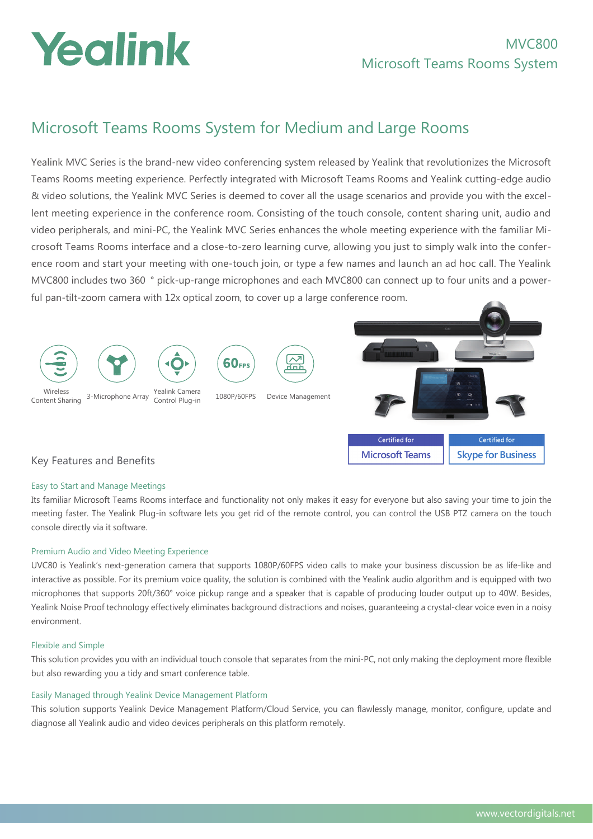# Yealink

## Microsoft Teams Rooms System for Medium and Large Rooms

Yealink MVC Series is the brand-new video conferencing system released by Yealink that revolutionizes the Microsoft Teams Rooms meeting experience. Perfectly integrated with Microsoft Teams Rooms and Yealink cutting-edge audio & video solutions, the Yealink MVC Series is deemed to cover all the usage scenarios and provide you with the excellent meeting experience in the conference room. Consisting of the touch console, content sharing unit, audio and video peripherals, and mini-PC, the Yealink MVC Series enhances the whole meeting experience with the familiar Microsoft Teams Rooms interface and a close-to-zero learning curve, allowing you just to simply walk into the conference room and start your meeting with one-touch join, or type a few names and launch an ad hoc call. The Yealink MVC800 includes two 360 ° pick-up-range microphones and each MVC800 can connect up to four units and a powerful pan-tilt-zoom camera with 12x optical zoom, to cover up a large conference room.



## Easy to Start and Manage Meetings

Its familiar Microsoft Teams Rooms interface and functionality not only makes it easy for everyone but also saving your time to join the meeting faster. The Yealink Plug-in software lets you get rid of the remote control, you can control the USB PTZ camera on the touch console directly via it software.

## Premium Audio and Video Meeting Experience

UVC80 is Yealink's next-generation camera that supports 1080P/60FPS video calls to make your business discussion be as life-like and interactive as possible. For its premium voice quality, the solution is combined with the Yealink audio algorithm and is equipped with two microphones that supports 20ft/360° voice pickup range and a speaker that is capable of producing louder output up to 40W. Besides, Yealink Noise Proof technology effectively eliminates background distractions and noises, guaranteeing a crystal-clear voice even in a noisy environment.

#### Flexible and Simple

This solution provides you with an individual touch console that separates from the mini-PC, not only making the deployment more flexible but also rewarding you a tidy and smart conference table.

### Easily Managed through Yealink Device Management Platform

This solution supports Yealink Device Management Platform/Cloud Service, you can flawlessly manage, monitor, configure, update and diagnose all Yealink audio and video devices peripherals on this platform remotely.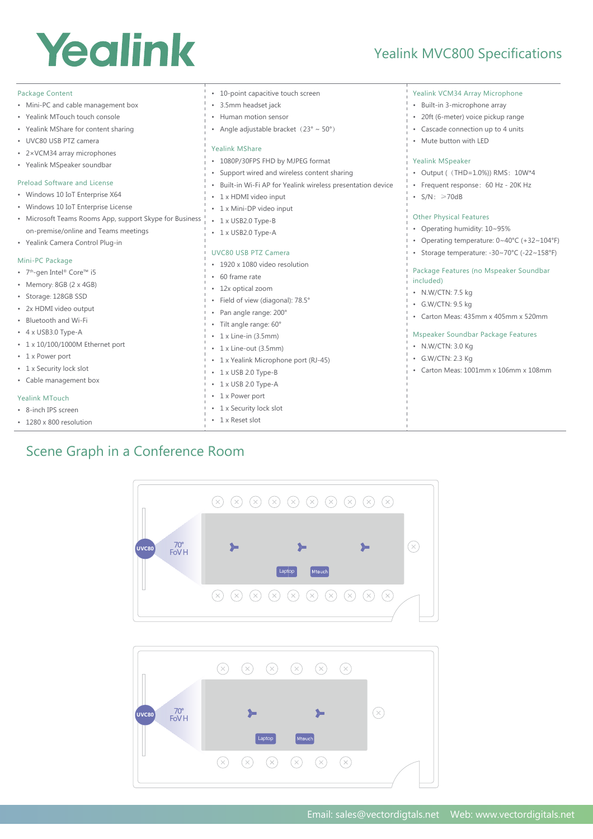## Yealink

Package Content

## Yealink MVC800 Specifications

Yealink VCM34 Array Microphone

| • Mini-PC and cable management box                      | • 3.5mm headset jack                                                              | • Built-in 3-microphone array                                |
|---------------------------------------------------------|-----------------------------------------------------------------------------------|--------------------------------------------------------------|
| • Yealink MTouch touch console                          | • Human motion sensor                                                             | · 20ft (6-meter) voice pickup range                          |
| • Yealink MShare for content sharing                    | • Angle adjustable bracket $(23^\circ \sim 50^\circ)$                             | • Cascade connection up to 4 units                           |
| • UVC80 USB PTZ camera<br>• 2×VCM34 array microphones   | Yealink MShare                                                                    | • Mute button with LED                                       |
| • Yealink MSpeaker soundbar                             | * 1080P/30FPS FHD by MJPEG format<br>• Support wired and wireless content sharing | <b>Yealink MSpeaker</b><br>• Output ( (THD=1.0%)) RMS: 10W*4 |
| Preload Software and License                            | • Built-in Wi-Fi AP for Yealink wireless presentation device                      | • Frequent response: 60 Hz - 20K Hz                          |
| • Windows 10 IoT Enterprise X64                         | • 1 x HDMI video input                                                            | $\cdot$ S/N: $\geq 70dB$                                     |
| • Windows 10 IoT Enterprise License                     | • 1 x Mini-DP video input                                                         |                                                              |
| • Microsoft Teams Rooms App, support Skype for Business | • 1 x USB2.0 Type-B                                                               | <b>Other Physical Features</b>                               |
| on-premise/online and Teams meetings                    | • 1 x USB2.0 Type-A                                                               | • Operating humidity: 10~95%                                 |
| • Yealink Camera Control Plug-in                        |                                                                                   | • Operating temperature: $0 \sim 40^{\circ}$ C (+32~104°F)   |
| Mini-PC Package                                         | <b>UVC80 USB PTZ Camera</b><br>• 1920 x 1080 video resolution                     | • Storage temperature: -30~70°C (-22~158°F)                  |
| • 7 <sup>th</sup> -gen Intel® Core™ i5                  | • 60 frame rate                                                                   | Package Features (no Mspeaker Soundbar                       |
| • Memory: $8GB$ (2 x 4GB)                               | • 12x optical zoom                                                                | included)                                                    |
| · Storage: 128GB SSD                                    | · Field of view (diagonal): 78.5°                                                 | • N.W/CTN: 7.5 kg                                            |
| • 2x HDMI video output                                  | • Pan angle range: 200°                                                           | • G.W/CTN: 9.5 kg                                            |
| • Bluetooth and Wi-Fi                                   | · Tilt angle range: 60°                                                           | • Carton Meas: 435mm x 405mm x 520mm                         |
| • 4 x USB3.0 Type-A                                     | $\cdot$ 1 x Line-in (3.5mm)                                                       | Mspeaker Soundbar Package Features                           |
| • 1 x 10/100/1000M Ethernet port                        | • 1 x Line-out (3.5mm)                                                            | • N.W/CTN: 3.0 Kg                                            |
| • 1 x Power port                                        | • 1 x Yealink Microphone port (RJ-45)                                             | • G.W/CTN: 2.3 Kg                                            |
| • 1 x Security lock slot                                | $\cdot$ 1 x USB 2.0 Type-B                                                        | • Carton Meas: 1001mm x 106mm x 108mm                        |
| • Cable management box                                  | $\cdot$ 1 x USB 2.0 Type-A                                                        |                                                              |
| <b>Yealink MTouch</b>                                   | • 1 x Power port                                                                  |                                                              |
| • 8-inch IPS screen                                     | • 1 x Security lock slot                                                          |                                                              |
| · 1280 x 800 resolution                                 | • 1 x Reset slot                                                                  |                                                              |
|                                                         |                                                                                   |                                                              |

• 10-point capacitive touch screen

## Scene Graph in a Conference Room



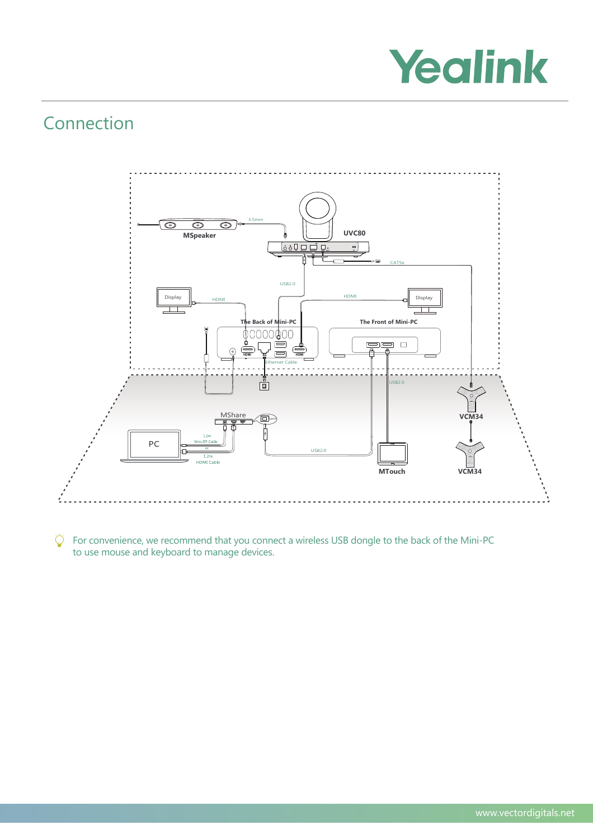

## Connection



 $\overleftrightarrow{Q}$  For convenience, we recommend that you connect a wireless USB dongle to the back of the Mini-PC to use mouse and keyboard to manage devices.